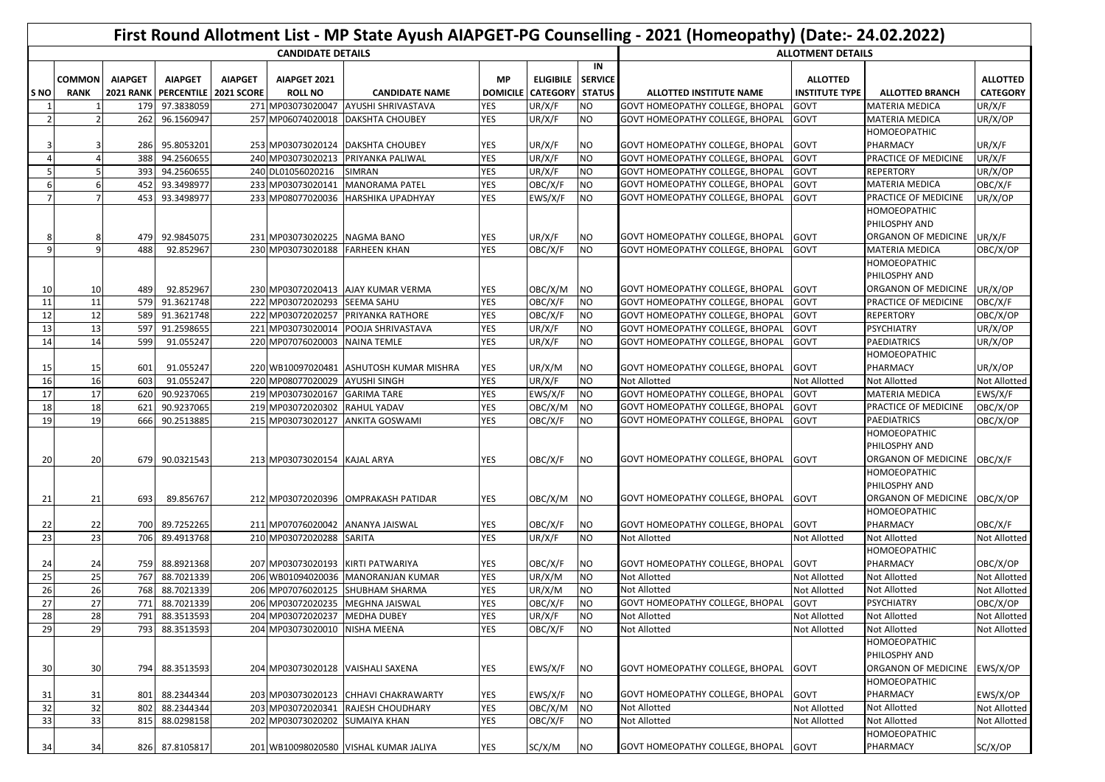|       | First Round Allotment List - MP State Ayush AIAPGET-PG Counselling - 2021 (Homeopathy) (Date:- 24.02.2022) |                  |                       |                |                                |                                         |            |                          |                |                                        |                       |                        |                     |
|-------|------------------------------------------------------------------------------------------------------------|------------------|-----------------------|----------------|--------------------------------|-----------------------------------------|------------|--------------------------|----------------|----------------------------------------|-----------------------|------------------------|---------------------|
|       | <b>CANDIDATE DETAILS</b>                                                                                   |                  |                       |                |                                |                                         |            |                          |                | <b>ALLOTMENT DETAILS</b>               |                       |                        |                     |
|       |                                                                                                            |                  |                       |                |                                |                                         |            |                          | IN             |                                        |                       |                        |                     |
|       | <b>COMMON</b>                                                                                              | <b>AIAPGET</b>   | <b>AIAPGET</b>        | <b>AIAPGET</b> | AIAPGET 2021                   |                                         | <b>MP</b>  | <b>ELIGIBILE</b>         | <b>SERVICE</b> |                                        | <b>ALLOTTED</b>       |                        | <b>ALLOTTED</b>     |
| ls NO | <b>RANK</b>                                                                                                | <b>2021 RANK</b> | PERCENTILE 2021 SCORE |                | <b>ROLL NO</b>                 | <b>CANDIDATE NAME</b>                   |            | DOMICILE CATEGORY STATUS |                | ALLOTTED INSTITUTE NAME                | <b>INSTITUTE TYPE</b> | <b>ALLOTTED BRANCH</b> | <b>CATEGORY</b>     |
|       |                                                                                                            | 179              | 97.3838059            |                | 271 MP03073020047              | <b>AYUSHI SHRIVASTAVA</b>               | <b>YES</b> | UR/X/F                   | <b>NO</b>      | <b>GOVT HOMEOPATHY COLLEGE, BHOPAL</b> | GOVT                  | <b>MATERIA MEDICA</b>  | UR/X/F              |
|       | 2                                                                                                          | 262              | 96.1560947            |                | 257 MP06074020018              | <b>DAKSHTA CHOUBEY</b>                  | YES        | UR/X/F                   | NO             | <b>GOVT HOMEOPATHY COLLEGE, BHOPAL</b> | GOVT                  | MATERIA MEDICA         | UR/X/OP             |
|       |                                                                                                            |                  |                       |                |                                |                                         |            |                          |                |                                        |                       | HOMOEOPATHIC           |                     |
|       |                                                                                                            | 286              | 95.8053201            |                |                                | 253 MP03073020124 DAKSHTA CHOUBEY       | YES        | UR/X/F                   | <b>NO</b>      | GOVT HOMEOPATHY COLLEGE, BHOPAL        | GOVT                  | PHARMACY               | UR/X/F              |
|       | 4                                                                                                          | 388              | 94.2560655            |                | 240 MP03073020213              | PRIYANKA PALIWAL                        | YES        | UR/X/F                   | <b>NO</b>      | GOVT HOMEOPATHY COLLEGE, BHOPAL        | GOVT                  | PRACTICE OF MEDICINE   | UR/X/F              |
|       | 5                                                                                                          | 393              | 94.2560655            |                | 240 DL01056020216              | <b>SIMRAN</b>                           | <b>YES</b> | UR/X/F                   | <b>NO</b>      | GOVT HOMEOPATHY COLLEGE, BHOPAL        | GOVT                  | <b>REPERTORY</b>       | UR/X/OP             |
|       | 6                                                                                                          | 452              | 93.3498977            |                | 233 MP03073020141              | <b>MANORAMA PATEL</b>                   | YES        | OBC/X/F                  | <b>NO</b>      | GOVT HOMEOPATHY COLLEGE, BHOPAL        | GOVT                  | <b>MATERIA MEDICA</b>  | OBC/X/F             |
|       |                                                                                                            | 453              | 93.3498977            |                | 233 MP08077020036              | <b>HARSHIKA UPADHYAY</b>                | YES        | EWS/X/F                  | NO             | GOVT HOMEOPATHY COLLEGE, BHOPAL        | GOVT                  | PRACTICE OF MEDICINE   | UR/X/OP             |
|       |                                                                                                            |                  |                       |                |                                |                                         |            |                          |                |                                        |                       | HOMOEOPATHIC           |                     |
|       |                                                                                                            |                  |                       |                |                                |                                         |            |                          |                |                                        |                       | PHILOSPHY AND          |                     |
|       | 8                                                                                                          | 479              | 92.9845075            |                | 231 MP03073020225 NAGMA BANO   |                                         | <b>YES</b> | UR/X/F                   | NO             | GOVT HOMEOPATHY COLLEGE, BHOPAL        | GOVT                  | ORGANON OF MEDICINE    | UR/X/F              |
| -9    | $\mathsf q$                                                                                                | 488              | 92.852967             |                | 230 MP03073020188 FARHEEN KHAN |                                         | <b>YES</b> | OBC/X/F                  | <b>NO</b>      | GOVT HOMEOPATHY COLLEGE, BHOPAL        | GOVT                  | <b>MATERIA MEDICA</b>  | OBC/X/OP            |
|       |                                                                                                            |                  |                       |                |                                |                                         |            |                          |                |                                        |                       | HOMOEOPATHIC           |                     |
|       |                                                                                                            |                  |                       |                |                                |                                         |            |                          |                |                                        |                       | PHILOSPHY AND          |                     |
| 10    | 10                                                                                                         | 489              | 92.852967             |                |                                | 230 MP03072020413 AJAY KUMAR VERMA      | <b>YES</b> | OBC/X/M                  | <b>NO</b>      | GOVT HOMEOPATHY COLLEGE, BHOPAL        | <b>GOVT</b>           | ORGANON OF MEDICINE    | UR/X/OP             |
| 11    | 11                                                                                                         | 579              | 91.3621748            |                | 222 MP03072020293              | <b>SEEMA SAHU</b>                       | YES        | OBC/X/F                  | <b>NO</b>      | GOVT HOMEOPATHY COLLEGE, BHOPAL        | GOVT                  | PRACTICE OF MEDICINE   | OBC/X/F             |
| 12    | 12                                                                                                         | 589              | 91.3621748            |                | 222 MP03072020257              | PRIYANKA RATHORE                        | YES        | OBC/X/F                  | <b>NO</b>      | GOVT HOMEOPATHY COLLEGE, BHOPAL        | GOVT                  | <b>REPERTORY</b>       | OBC/X/OP            |
| 13    | 13                                                                                                         | 597              | 91.2598655            |                | 221 MP03073020014              | POOJA SHRIVASTAVA                       | <b>YES</b> | UR/X/F                   | <b>NO</b>      | GOVT HOMEOPATHY COLLEGE, BHOPAL        | GOVT                  | PSYCHIATRY             | UR/X/OP             |
| 14    | 14                                                                                                         | 599              | 91.055247             |                | 220 MP07076020003              | <b>NAINA TEMLE</b>                      | YES        | UR/X/F                   | <b>NO</b>      | GOVT HOMEOPATHY COLLEGE, BHOPAL        | GOVT                  | <b>PAEDIATRICS</b>     | UR/X/OP             |
|       |                                                                                                            |                  |                       |                |                                |                                         |            |                          |                |                                        |                       | <b>HOMOEOPATHIC</b>    |                     |
| 15    | 15                                                                                                         | 601              | 91.055247             |                |                                | 220 WB10097020481 ASHUTOSH KUMAR MISHRA | <b>YES</b> | UR/X/M                   | <b>NO</b>      | GOVT HOMEOPATHY COLLEGE, BHOPAL GOVT   |                       | PHARMACY               | UR/X/OP             |
| 16    | <b>16</b>                                                                                                  | 603              | 91.055247             |                | 220 MP08077020029              | <b>AYUSHI SINGH</b>                     | <b>YES</b> | UR/X/F                   | <b>NO</b>      | Not Allotted                           | <b>Not Allotted</b>   | Not Allotted           | <b>Not Allotted</b> |
| 17    | 17                                                                                                         | 620              | 90.9237065            |                | 219 MP03073020167              | <b>GARIMA TARE</b>                      | YES        | EWS/X/F                  | <b>NO</b>      | GOVT HOMEOPATHY COLLEGE, BHOPAL        | GOVT                  | <b>MATERIA MEDICA</b>  | EWS/X/F             |
| 18    | 18                                                                                                         | 621              | 90.9237065            |                | 219 MP03072020302              | <b>RAHUL YADAV</b>                      | <b>YES</b> | OBC/X/M                  | <b>NO</b>      | GOVT HOMEOPATHY COLLEGE, BHOPAL        | GOVT                  | PRACTICE OF MEDICINE   | OBC/X/OP            |
| 19    | <b>19</b>                                                                                                  | 666              | 90.2513885            |                | 215 MP03073020127              | <b>ANKITA GOSWAMI</b>                   | <b>YES</b> | OBC/X/F                  | <b>NO</b>      | GOVT HOMEOPATHY COLLEGE, BHOPAL        | GOVT                  | <b>PAEDIATRICS</b>     | OBC/X/OP            |
|       |                                                                                                            |                  |                       |                |                                |                                         |            |                          |                |                                        |                       | HOMOEOPATHIC           |                     |
|       |                                                                                                            |                  |                       |                |                                |                                         |            |                          |                |                                        |                       | PHILOSPHY AND          |                     |
| 20    | 20                                                                                                         |                  | 679 90.0321543        |                | 213 MP03073020154 KAJAL ARYA   |                                         | <b>YES</b> | OBC/X/F                  | NO             | GOVT HOMEOPATHY COLLEGE, BHOPAL GOVT   |                       | ORGANON OF MEDICINE    | OBC/X/F             |
|       |                                                                                                            |                  |                       |                |                                |                                         |            |                          |                |                                        |                       | HOMOEOPATHIC           |                     |
|       |                                                                                                            |                  |                       |                |                                |                                         |            |                          |                |                                        |                       | PHILOSPHY AND          |                     |
| 21    | 21                                                                                                         | 693              | 89.856767             |                |                                | 212 MP03072020396 OMPRAKASH PATIDAR     | YES        | OBC/X/M                  | <b>NO</b>      | GOVT HOMEOPATHY COLLEGE, BHOPAL GOVT   |                       | ORGANON OF MEDICINE    | OBC/X/OP            |
|       |                                                                                                            |                  |                       |                |                                |                                         |            |                          |                |                                        |                       | <b>HOMOEOPATHIC</b>    |                     |
| 22    | 22                                                                                                         | 700              | 89.7252265            |                |                                | 211 MP07076020042 ANANYA JAISWAL        | YES        | OBC/X/F                  | NO             | GOVT HOMEOPATHY COLLEGE, BHOPAL        | GOVT                  | PHARMACY               | OBC/X/F             |
| 23    | 23                                                                                                         | 706              | 89.4913768            |                | 210 MP03072020288              | SARITA                                  | <b>YES</b> | UR/X/F                   | <b>NO</b>      | Not Allotted                           | <b>Not Allotted</b>   | Not Allotted           | <b>Not Allotted</b> |
|       |                                                                                                            |                  |                       |                |                                |                                         |            |                          |                |                                        |                       | HOMOEOPATHIC           |                     |
| 24    | 24                                                                                                         | 759              | 88.8921368            |                | 207 MP03073020193              | KIRTI PATWARIYA                         | <b>YES</b> | OBC/X/F                  | <b>NO</b>      | GOVT HOMEOPATHY COLLEGE, BHOPAL        | GOVT                  | PHARMACY               | OBC/X/OP            |
| 25    | 25                                                                                                         | 767              | 88.7021339            |                |                                | 206 WB01094020036 MANORANJAN KUMAR      | <b>YES</b> | UR/X/M                   | <b>NO</b>      | Not Allotted                           | <b>Not Allotted</b>   | Not Allotted           | <b>Not Allotted</b> |
| 26    | 26                                                                                                         | 768              | 88.7021339            |                | 206 MP07076020125              | <b>SHUBHAM SHARMA</b>                   | YES        | UR/X/M                   | <b>NO</b>      | Not Allotted                           | <b>Not Allotted</b>   | Not Allotted           | Not Allotted        |
| 27    | 27                                                                                                         |                  | 771 88.7021339        |                |                                | 206 MP03072020235 MEGHNA JAISWAL        | YES        | OBC/X/F                  | <b>NO</b>      | GOVT HOMEOPATHY COLLEGE, BHOPAL        | GOVT                  | <b>PSYCHIATRY</b>      | OBC/X/OP            |
| 28    | 28                                                                                                         | 791              | 88.3513593            |                | 204 MP03072020237 MEDHA DUBEY  |                                         | <b>YES</b> | UR/X/F                   | <b>NO</b>      | Not Allotted                           | Not Allotted          | Not Allotted           | Not Allotted        |
| 29    | 29                                                                                                         | 793              | 88.3513593            |                | 204 MP03073020010 NISHA MEENA  |                                         | <b>YES</b> | OBC/X/F                  | <b>NO</b>      | Not Allotted                           | <b>Not Allotted</b>   | Not Allotted           | <b>Not Allotted</b> |
|       |                                                                                                            |                  |                       |                |                                |                                         |            |                          |                |                                        |                       | HOMOEOPATHIC           |                     |
|       |                                                                                                            |                  |                       |                |                                |                                         |            |                          |                |                                        |                       | PHILOSPHY AND          |                     |
| 30    | 30 <sup>1</sup>                                                                                            | 794              | 88.3513593            |                |                                | 204 MP03073020128 VAISHALI SAXENA       | YES        | EWS/X/F                  | ΝO             | GOVT HOMEOPATHY COLLEGE, BHOPAL GOVT   |                       | ORGANON OF MEDICINE    | EWS/X/OP            |
|       |                                                                                                            |                  |                       |                |                                |                                         |            |                          |                |                                        |                       | HOMOEOPATHIC           |                     |
| 31    | 31                                                                                                         | 801              | 88.2344344            |                |                                | 203 MP03073020123 CHHAVI CHAKRAWARTY    | YES        | EWS/X/F                  | NO             | <b>GOVT HOMEOPATHY COLLEGE, BHOPAL</b> | <b>GOVT</b>           | PHARMACY               | EWS/X/OP            |
| 32    | 32                                                                                                         | 802              | 88.2344344            |                | 203 MP03072020341              | RAJESH CHOUDHARY                        | <b>YES</b> | OBC/X/M                  | <b>NO</b>      | Not Allotted                           | <b>Not Allotted</b>   | Not Allotted           | <b>Not Allotted</b> |
| 33    | 33                                                                                                         | 815              | 88.0298158            |                | 202 MP03073020202              | <b>SUMAIYA KHAN</b>                     | <b>YES</b> | OBC/X/F                  | NO             | Not Allotted                           | <b>Not Allotted</b>   | Not Allotted           | <b>Not Allotted</b> |
|       |                                                                                                            |                  |                       |                |                                |                                         |            |                          |                |                                        |                       | HOMOEOPATHIC           |                     |
| 34    | 34                                                                                                         |                  | 826 87.8105817        |                |                                | 201 WB10098020580 VISHAL KUMAR JALIYA   | <b>YES</b> | SC/X/M                   | <b>NO</b>      | GOVT HOMEOPATHY COLLEGE, BHOPAL GOVT   |                       | PHARMACY               | SC/X/OP             |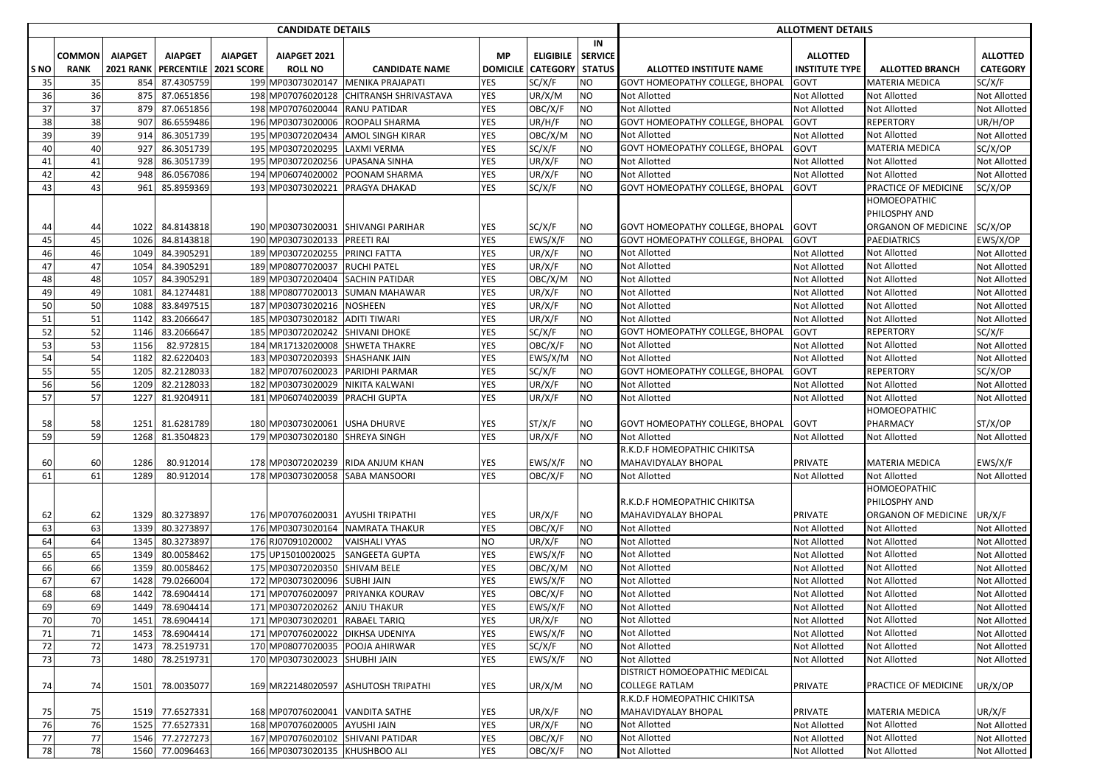|      |               |                  |                         |                | <b>CANDIDATE DETAILS</b>          |                                     |            |                          |                |                                 | <b>ALLOTMENT DETAILS</b> | <b>ALLOTTED BRANCH</b><br><b>MATERIA MEDICA</b><br><b>Not Allotted</b><br>Not Allotted<br><b>REPERTORY</b><br>Not Allotted<br>MATERIA MEDICA<br>Not Allotted<br>Not Allotted<br>PRACTICE OF MEDICINE<br>HOMOEOPATHIC<br>PHILOSPHY AND<br>ORGANON OF MEDICINE SC/X/OP<br><b>PAEDIATRICS</b><br>Not Allotted<br>Not Allotted<br>Not Allotted<br>Not Allotted<br>Not Allotted<br>Not Allotted<br><b>REPERTORY</b><br>Not Allotted<br>Not Allotted<br><b>REPERTORY</b><br>Not Allotted<br><b>Not Allotted</b><br>HOMOEOPATHIC<br>PHARMACY<br>Not Allotted<br>MATERIA MEDICA<br>Not Allotted<br>HOMOEOPATHIC<br>PHILOSPHY AND<br>ORGANON OF MEDICINE<br>Not Allotted<br>Not Allotted<br>Not Allotted<br>Not Allotted<br>Not Allotted<br>Not Allotted<br><b>Not Allotted</b><br><b>Not Allotted</b><br>Not Allotted |                     |
|------|---------------|------------------|-------------------------|----------------|-----------------------------------|-------------------------------------|------------|--------------------------|----------------|---------------------------------|--------------------------|---------------------------------------------------------------------------------------------------------------------------------------------------------------------------------------------------------------------------------------------------------------------------------------------------------------------------------------------------------------------------------------------------------------------------------------------------------------------------------------------------------------------------------------------------------------------------------------------------------------------------------------------------------------------------------------------------------------------------------------------------------------------------------------------------------------|---------------------|
|      |               |                  |                         |                |                                   |                                     |            |                          | IN             |                                 |                          |                                                                                                                                                                                                                                                                                                                                                                                                                                                                                                                                                                                                                                                                                                                                                                                                               |                     |
|      | <b>COMMON</b> | <b>AIAPGET</b>   | <b>AIAPGET</b>          | <b>AIAPGET</b> | AIAPGET 2021                      |                                     | <b>MP</b>  | <b>ELIGIBILE</b>         | <b>SERVICE</b> |                                 | <b>ALLOTTED</b>          |                                                                                                                                                                                                                                                                                                                                                                                                                                                                                                                                                                                                                                                                                                                                                                                                               | <b>ALLOTTED</b>     |
| S NO | <b>RANK</b>   | <b>2021 RANK</b> | PERCENTILE   2021 SCORE |                | <b>ROLL NO</b>                    | <b>CANDIDATE NAME</b>               |            | DOMICILE CATEGORY STATUS |                | <b>ALLOTTED INSTITUTE NAME</b>  | <b>INSTITUTE TYPE</b>    |                                                                                                                                                                                                                                                                                                                                                                                                                                                                                                                                                                                                                                                                                                                                                                                                               | <b>CATEGORY</b>     |
| 35   | 35            | 854              | 87.4305759              |                | 199 MP03073020147                 | <b>MENIKA PRAJAPATI</b>             | <b>YES</b> | SC/X/F                   | <b>NO</b>      | GOVT HOMEOPATHY COLLEGE, BHOPAL | GOVT                     |                                                                                                                                                                                                                                                                                                                                                                                                                                                                                                                                                                                                                                                                                                                                                                                                               | SC/X/F              |
| 36   | 36            | 875              | 87.0651856              |                | 198 MP07076020128                 | <b>CHITRANSH SHRIVASTAVA</b>        | YES        | UR/X/M                   | <b>NO</b>      | <b>Not Allotted</b>             | Not Allotted             |                                                                                                                                                                                                                                                                                                                                                                                                                                                                                                                                                                                                                                                                                                                                                                                                               | Not Allotted        |
| 37   | 37            | 879              | 87.0651856              |                | 198 MP07076020044                 | <b>RANU PATIDAR</b>                 | <b>YES</b> | OBC/X/F                  | <b>NO</b>      | Not Allotted                    | <b>Not Allotted</b>      |                                                                                                                                                                                                                                                                                                                                                                                                                                                                                                                                                                                                                                                                                                                                                                                                               | Not Allotted        |
| 38   | 38            | 907              | 86.6559486              |                | 196 MP03073020006                 | <b>ROOPALI SHARMA</b>               | <b>YES</b> | UR/H/F                   | <b>NO</b>      | GOVT HOMEOPATHY COLLEGE, BHOPAL | GOVT                     |                                                                                                                                                                                                                                                                                                                                                                                                                                                                                                                                                                                                                                                                                                                                                                                                               | UR/H/OP             |
| 39   | 39            | 914              | 86.3051739              |                | 195 MP03072020434                 | <b>AMOL SINGH KIRAR</b>             | YES        | OBC/X/M                  | <b>NO</b>      | <b>Not Allotted</b>             | <b>Not Allotted</b>      |                                                                                                                                                                                                                                                                                                                                                                                                                                                                                                                                                                                                                                                                                                                                                                                                               | Not Allotted        |
| 40   | 40            | 927              | 86.3051739              |                | 195 MP03072020295                 | <b>LAXMI VERMA</b>                  | <b>YES</b> | SC/X/F                   | <b>NO</b>      | GOVT HOMEOPATHY COLLEGE, BHOPAL | GOVT                     |                                                                                                                                                                                                                                                                                                                                                                                                                                                                                                                                                                                                                                                                                                                                                                                                               | SC/X/OP             |
| 41   | 41            | 928              | 86.3051739              |                | 195 MP03072020256                 | <b>UPASANA SINHA</b>                | YES        | UR/X/F                   | <b>NO</b>      | <b>Not Allotted</b>             | <b>Not Allotted</b>      |                                                                                                                                                                                                                                                                                                                                                                                                                                                                                                                                                                                                                                                                                                                                                                                                               | Not Allotted        |
| 42   | 42            | 948              | 86.0567086              |                | 194 MP06074020002                 | POONAM SHARMA                       | YES        | UR/X/F                   | <b>NO</b>      | <b>Not Allotted</b>             | Not Allotted             |                                                                                                                                                                                                                                                                                                                                                                                                                                                                                                                                                                                                                                                                                                                                                                                                               | Not Allotted        |
| 43   | 43            | 961              | 85.8959369              |                | 193 MP03073020221                 | <b>PRAGYA DHAKAD</b>                | YES        | SC/X/F                   | <b>NO</b>      | GOVT HOMEOPATHY COLLEGE, BHOPAL | GOVT                     |                                                                                                                                                                                                                                                                                                                                                                                                                                                                                                                                                                                                                                                                                                                                                                                                               | SC/X/OP             |
|      |               |                  |                         |                |                                   |                                     |            |                          |                |                                 |                          |                                                                                                                                                                                                                                                                                                                                                                                                                                                                                                                                                                                                                                                                                                                                                                                                               |                     |
|      |               |                  |                         |                |                                   |                                     |            |                          |                |                                 |                          |                                                                                                                                                                                                                                                                                                                                                                                                                                                                                                                                                                                                                                                                                                                                                                                                               |                     |
| 44   | 44            | 1022             | 84.8143818              |                |                                   | 190 MP03073020031 SHIVANGI PARIHAR  | YES        | SC/X/F                   | <b>NO</b>      | GOVT HOMEOPATHY COLLEGE, BHOPAL | GOVT                     |                                                                                                                                                                                                                                                                                                                                                                                                                                                                                                                                                                                                                                                                                                                                                                                                               |                     |
| 45   | 45            | 1026             | 84.8143818              |                | 190 MP03073020133                 | <b>PREETI RAI</b>                   | YES        | EWS/X/F                  | <b>NO</b>      | GOVT HOMEOPATHY COLLEGE, BHOPAL | GOVT                     |                                                                                                                                                                                                                                                                                                                                                                                                                                                                                                                                                                                                                                                                                                                                                                                                               | EWS/X/OP            |
| 46   | 46            | 1049             | 84.3905291              |                | 189 MP03072020255                 | <b>PRINCI FATTA</b>                 | YES        | UR/X/F                   | <b>NO</b>      | <b>Not Allotted</b>             | <b>Not Allotted</b>      |                                                                                                                                                                                                                                                                                                                                                                                                                                                                                                                                                                                                                                                                                                                                                                                                               | Not Allotted        |
| 47   | 47            | 1054             | 84.3905291              |                | 189 MP08077020037                 | <b>RUCHI PATEL</b>                  | <b>YES</b> | UR/X/F                   | <b>NO</b>      | Not Allotted                    | <b>Not Allotted</b>      |                                                                                                                                                                                                                                                                                                                                                                                                                                                                                                                                                                                                                                                                                                                                                                                                               | Not Allotted        |
| 48   | 48            | 1057             | 84.3905291              |                | 189 MP03072020404                 | <b>SACHIN PATIDAR</b>               | YES        | OBC/X/M                  | <b>NO</b>      | <b>Not Allotted</b>             | <b>Not Allotted</b>      |                                                                                                                                                                                                                                                                                                                                                                                                                                                                                                                                                                                                                                                                                                                                                                                                               | Not Allotted        |
| 49   | 49            | 1081             | 84.1274481              |                | 188 MP08077020013                 | <b>SUMAN MAHAWAR</b>                | YES        | UR/X/F                   | <b>NO</b>      | <b>Not Allotted</b>             | Not Allotted             |                                                                                                                                                                                                                                                                                                                                                                                                                                                                                                                                                                                                                                                                                                                                                                                                               | Not Allotted        |
| 50   | 50            | 1088             | 83.8497515              |                | 187 MP03073020216                 | <b>NOSHEEN</b>                      | <b>YES</b> | UR/X/F                   | <b>NO</b>      | Not Allotted                    | <b>Not Allotted</b>      |                                                                                                                                                                                                                                                                                                                                                                                                                                                                                                                                                                                                                                                                                                                                                                                                               | Not Allotted        |
| 51   | 51            | 1142             | 83.2066647              |                | 185 MP03073020182                 | <b>ADITI TIWARI</b>                 | YES        | UR/X/F                   | <b>NO</b>      | <b>Not Allotted</b>             | <b>Not Allotted</b>      |                                                                                                                                                                                                                                                                                                                                                                                                                                                                                                                                                                                                                                                                                                                                                                                                               | Not Allotted        |
| 52   | 52            | 1146             | 83.2066647              |                | 185 MP03072020242                 | SHIVANI DHOKE                       | YES        | SC/X/F                   | <b>NO</b>      | GOVT HOMEOPATHY COLLEGE, BHOPAL | GOVT                     |                                                                                                                                                                                                                                                                                                                                                                                                                                                                                                                                                                                                                                                                                                                                                                                                               | SC/X/F              |
| 53   | 53            | 1156             | 82.972815               |                | 184 MR17132020008                 | <b>SHWETA THAKRE</b>                | YES        | OBC/X/F                  | <b>NO</b>      | Not Allotted                    | <b>Not Allotted</b>      |                                                                                                                                                                                                                                                                                                                                                                                                                                                                                                                                                                                                                                                                                                                                                                                                               | Not Allotted        |
| 54   | 54            | 1182             | 82.6220403              |                | 183 MP03072020393                 | <b>SHASHANK JAIN</b>                | YES        | EWS/X/M                  | <b>NO</b>      | <b>Not Allotted</b>             | <b>Not Allotted</b>      |                                                                                                                                                                                                                                                                                                                                                                                                                                                                                                                                                                                                                                                                                                                                                                                                               | Not Allotted        |
| 55   | 55            | 1205             | 82.2128033              |                | 182 MP07076020023                 | PARIDHI PARMAR                      | <b>YES</b> | SC/X/F                   | <b>NO</b>      | GOVT HOMEOPATHY COLLEGE, BHOPAL | GOVT                     |                                                                                                                                                                                                                                                                                                                                                                                                                                                                                                                                                                                                                                                                                                                                                                                                               | SC/X/OP             |
| 56   | 56            | 1209             | 82.2128033              |                | 182 MP03073020029                 | NIKITA KALWANI                      | <b>YES</b> | UR/X/F                   | <b>NO</b>      | Not Allotted                    | <b>Not Allotted</b>      |                                                                                                                                                                                                                                                                                                                                                                                                                                                                                                                                                                                                                                                                                                                                                                                                               | Not Allotted        |
| 57   | 57            | 1227             | 81.9204911              |                | 181 MP06074020039                 | <b>PRACHI GUPTA</b>                 | <b>YES</b> | UR/X/F                   | <b>NO</b>      | <b>Not Allotted</b>             | <b>Not Allotted</b>      |                                                                                                                                                                                                                                                                                                                                                                                                                                                                                                                                                                                                                                                                                                                                                                                                               | Not Allotted        |
|      |               |                  |                         |                |                                   |                                     |            |                          |                |                                 |                          |                                                                                                                                                                                                                                                                                                                                                                                                                                                                                                                                                                                                                                                                                                                                                                                                               |                     |
| 58   | 58            | 1251             | 81.6281789              |                | 180 MP03073020061                 | <b>USHA DHURVE</b>                  | YES        | ST/X/F                   | <b>NO</b>      | GOVT HOMEOPATHY COLLEGE, BHOPAL | GOVT                     |                                                                                                                                                                                                                                                                                                                                                                                                                                                                                                                                                                                                                                                                                                                                                                                                               | ST/X/OP             |
| 59   | 59            | 1268             | 81.3504823              |                | 179 MP03073020180                 | <b>SHREYA SINGH</b>                 | <b>YES</b> | UR/X/F                   | <b>NO</b>      | <b>Not Allotted</b>             | <b>Not Allotted</b>      |                                                                                                                                                                                                                                                                                                                                                                                                                                                                                                                                                                                                                                                                                                                                                                                                               | Not Allotted        |
|      |               |                  |                         |                |                                   |                                     |            |                          |                | R.K.D.F HOMEOPATHIC CHIKITSA    |                          |                                                                                                                                                                                                                                                                                                                                                                                                                                                                                                                                                                                                                                                                                                                                                                                                               |                     |
| 60   | 60            | 1286             | 80.912014               |                | 178 MP03072020239                 | RIDA ANJUM KHAN                     | YES        | EWS/X/F                  | <b>NO</b>      | MAHAVIDYALAY BHOPAL             | <b>PRIVATE</b>           |                                                                                                                                                                                                                                                                                                                                                                                                                                                                                                                                                                                                                                                                                                                                                                                                               | EWS/X/F             |
| 61   | 61            | 1289             | 80.912014               |                | 178 MP03073020058                 | <b>SABA MANSOORI</b>                | <b>YES</b> | OBC/X/F                  | <b>NO</b>      | <b>Not Allotted</b>             | <b>Not Allotted</b>      |                                                                                                                                                                                                                                                                                                                                                                                                                                                                                                                                                                                                                                                                                                                                                                                                               | <b>Not Allotted</b> |
|      |               |                  |                         |                |                                   |                                     |            |                          |                |                                 |                          |                                                                                                                                                                                                                                                                                                                                                                                                                                                                                                                                                                                                                                                                                                                                                                                                               |                     |
|      |               |                  |                         |                |                                   |                                     |            |                          |                | R.K.D.F HOMEOPATHIC CHIKITSA    |                          |                                                                                                                                                                                                                                                                                                                                                                                                                                                                                                                                                                                                                                                                                                                                                                                                               |                     |
| 62   | 62            | 1329             | 80.3273897              |                | 176 MP07076020031 AYUSHI TRIPATHI |                                     | <b>YES</b> | UR/X/F                   | <b>NO</b>      | MAHAVIDYALAY BHOPAL             | <b>PRIVATE</b>           |                                                                                                                                                                                                                                                                                                                                                                                                                                                                                                                                                                                                                                                                                                                                                                                                               | UR/X/F              |
| 63   | 63            | 1339             | 80.3273897              |                |                                   | 176 MP03073020164 NAMRATA THAKUR    | YES        | OBC/X/F                  | <b>NO</b>      | <b>Not Allotted</b>             | <b>Not Allotted</b>      |                                                                                                                                                                                                                                                                                                                                                                                                                                                                                                                                                                                                                                                                                                                                                                                                               | Not Allotted        |
| 64   | 64            | 1345             | 80.3273897              |                | 176 RJ07091020002                 | <b>VAISHALI VYAS</b>                | NO         | UR/X/F                   | <b>NO</b>      | Not Allotted                    | <b>Not Allotted</b>      |                                                                                                                                                                                                                                                                                                                                                                                                                                                                                                                                                                                                                                                                                                                                                                                                               | Not Allotted        |
| 65   | 65            | 1349             | 80.0058462              |                | 175 UP15010020025                 | <b>SANGEETA GUPTA</b>               | YES        | EWS/X/F                  | <b>NO</b>      | <b>Not Allotted</b>             | <b>Not Allotted</b>      |                                                                                                                                                                                                                                                                                                                                                                                                                                                                                                                                                                                                                                                                                                                                                                                                               | Not Allotted        |
| 66   | 66            | 1359             | 80.0058462              |                | 175 MP03072020350                 | <b>SHIVAM BELE</b>                  | YES        | OBC/X/M                  | <b>NO</b>      | <b>Not Allotted</b>             | <b>Not Allotted</b>      |                                                                                                                                                                                                                                                                                                                                                                                                                                                                                                                                                                                                                                                                                                                                                                                                               | Not Allotted        |
| 67   | 67            | 1428             | 79.0266004              |                | 172 MP03073020096                 | <b>SUBHI JAIN</b>                   | YES        | EWS/X/F                  | <b>NO</b>      | Not Allotted                    | <b>Not Allotted</b>      |                                                                                                                                                                                                                                                                                                                                                                                                                                                                                                                                                                                                                                                                                                                                                                                                               | Not Allotted        |
| 68   | 68            | 1442             | 78.6904414              |                |                                   | 171 MP07076020097 PRIYANKA KOURAV   | YES        | OBC/X/F                  | <b>NO</b>      | <b>Not Allotted</b>             | <b>Not Allotted</b>      |                                                                                                                                                                                                                                                                                                                                                                                                                                                                                                                                                                                                                                                                                                                                                                                                               | Not Allotted        |
| 69   | 69            |                  | 1449 78.6904414         |                | 171 MP03072020262 ANJU THAKUR     |                                     | <b>YES</b> | EWS/X/F                  | <b>NO</b>      | <b>Not Allotted</b>             | <b>Not Allotted</b>      |                                                                                                                                                                                                                                                                                                                                                                                                                                                                                                                                                                                                                                                                                                                                                                                                               | Not Allotted        |
| 70   | 70            |                  | 1451 78.6904414         |                | 171 MP03073020201 RABAEL TARIQ    |                                     | YES        | U R/X/F                  | <b>NO</b>      | <b>Not Allotted</b>             | Not Allotted             |                                                                                                                                                                                                                                                                                                                                                                                                                                                                                                                                                                                                                                                                                                                                                                                                               | Not Allotted        |
| 71   | 71            | 1453             | 78.6904414              |                | 171 MP07076020022 DIKHSA UDENIYA  |                                     | <b>YES</b> | EWS/X/F                  | <b>NO</b>      | Not Allotted                    | Not Allotted             |                                                                                                                                                                                                                                                                                                                                                                                                                                                                                                                                                                                                                                                                                                                                                                                                               | Not Allotted        |
| 72   | 72            | 1473             | 78.2519731              |                | 170 MP08077020035                 | POOJA AHIRWAR                       | YES        | SC/X/F                   | <b>NO</b>      | Not Allotted                    | Not Allotted             | Not Allotted                                                                                                                                                                                                                                                                                                                                                                                                                                                                                                                                                                                                                                                                                                                                                                                                  | Not Allotted        |
| 73   | 73            | 1480             | 78.2519731              |                | 170 MP03073020023 SHUBHI JAIN     |                                     | YES        | EWS/X/F                  | <b>NO</b>      | Not Allotted                    | <b>Not Allotted</b>      | Not Allotted                                                                                                                                                                                                                                                                                                                                                                                                                                                                                                                                                                                                                                                                                                                                                                                                  | Not Allotted        |
|      |               |                  |                         |                |                                   |                                     |            |                          |                | DISTRICT HOMOEOPATHIC MEDICAL   |                          |                                                                                                                                                                                                                                                                                                                                                                                                                                                                                                                                                                                                                                                                                                                                                                                                               |                     |
| 74   | 74            |                  | 1501 78.0035077         |                |                                   | 169 MR22148020597 ASHUTOSH TRIPATHI | YES        | UR/X/M                   | <b>NO</b>      | <b>COLLEGE RATLAM</b>           | <b>PRIVATE</b>           | PRACTICE OF MEDICINE                                                                                                                                                                                                                                                                                                                                                                                                                                                                                                                                                                                                                                                                                                                                                                                          | UR/X/OP             |
|      |               |                  |                         |                |                                   |                                     |            |                          |                | R.K.D.F HOMEOPATHIC CHIKITSA    |                          |                                                                                                                                                                                                                                                                                                                                                                                                                                                                                                                                                                                                                                                                                                                                                                                                               |                     |
| 75   | 75            |                  | 1519 77.6527331         |                | 168 MP07076020041 VANDITA SATHE   |                                     | YES        | UR/X/F                   | <b>NO</b>      | MAHAVIDYALAY BHOPAL             | PRIVATE                  | MATERIA MEDICA                                                                                                                                                                                                                                                                                                                                                                                                                                                                                                                                                                                                                                                                                                                                                                                                | UR/X/F              |
| 76   | 76            | 1525             | 77.6527331              |                | 168 MP07076020005 AYUSHI JAIN     |                                     | <b>YES</b> | UR/X/F                   | <b>NO</b>      | <b>Not Allotted</b>             | Not Allotted             | Not Allotted                                                                                                                                                                                                                                                                                                                                                                                                                                                                                                                                                                                                                                                                                                                                                                                                  | Not Allotted        |
| 77   | 77            | 1546             | 77.2727273              |                |                                   | 167 MP07076020102 SHIVANI PATIDAR   | <b>YES</b> | OBC/X/F                  | <b>NO</b>      | Not Allotted                    | <b>Not Allotted</b>      | Not Allotted                                                                                                                                                                                                                                                                                                                                                                                                                                                                                                                                                                                                                                                                                                                                                                                                  | Not Allotted        |
| 78   | 78            |                  | 1560 77.0096463         |                | 166 MP03073020135 KHUSHBOO ALI    |                                     | YES        | OBC/X/F                  | <b>NO</b>      | Not Allotted                    | Not Allotted             | Not Allotted                                                                                                                                                                                                                                                                                                                                                                                                                                                                                                                                                                                                                                                                                                                                                                                                  | Not Allotted        |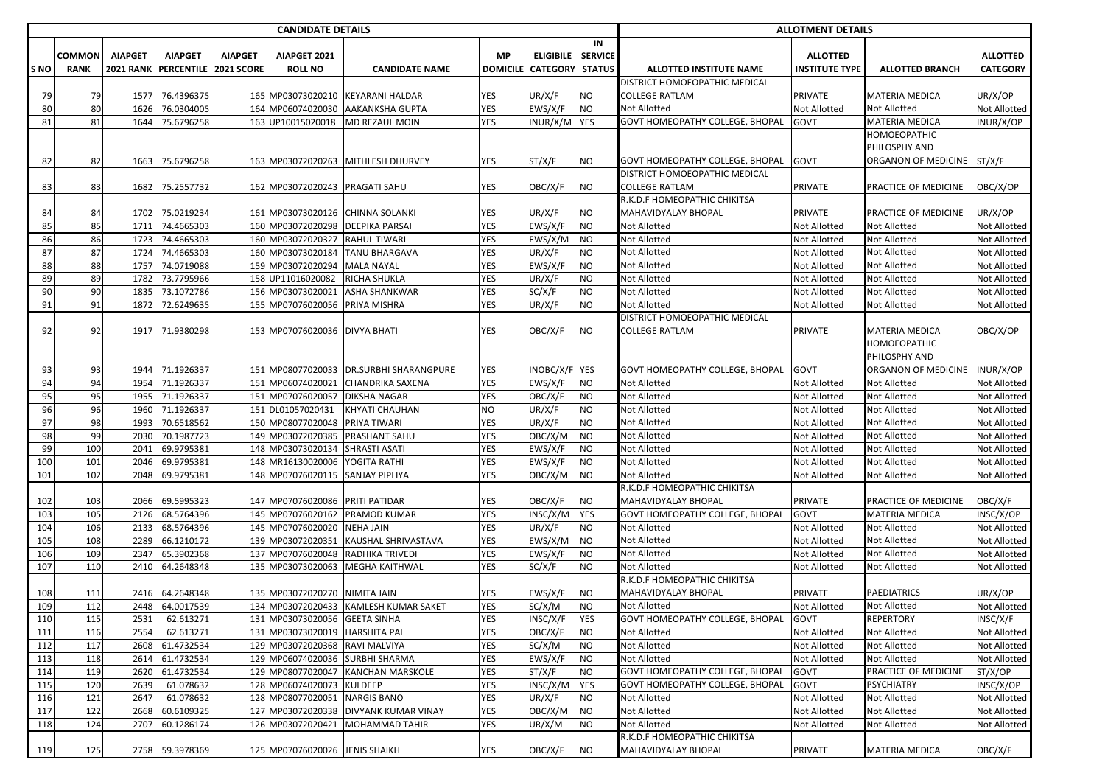|            |             |                  |                         |                | <b>CANDIDATE DETAILS</b>       |                                         |            |                            |                 |                                            | <b>ALLOTMENT DETAILS</b>     |                                            |                              |
|------------|-------------|------------------|-------------------------|----------------|--------------------------------|-----------------------------------------|------------|----------------------------|-----------------|--------------------------------------------|------------------------------|--------------------------------------------|------------------------------|
|            |             |                  |                         |                |                                |                                         |            |                            | IN              |                                            |                              |                                            |                              |
|            | COMMON      | <b>AIAPGET</b>   | <b>AIAPGET</b>          | <b>AIAPGET</b> | AIAPGET 2021                   |                                         | MP         | <b>ELIGIBILE</b>           | <b>SERVICE</b>  |                                            | <b>ALLOTTED</b>              |                                            | <b>ALLOTTED</b>              |
| ls NO      | <b>RANK</b> | <b>2021 RANK</b> | PERCENTILE   2021 SCORE |                | <b>ROLL NO</b>                 | <b>CANDIDATE NAME</b>                   |            | <b>DOMICILE   CATEGORY</b> | <b>STATUS</b>   | <b>ALLOTTED INSTITUTE NAME</b>             | <b>INSTITUTE TYPE</b>        | <b>ALLOTTED BRANCH</b>                     | <b>CATEGORY</b>              |
|            |             |                  |                         |                |                                |                                         |            |                            |                 | DISTRICT HOMOEOPATHIC MEDICAL              |                              |                                            |                              |
| 79         | 79          | 1577             | 76.4396375              |                | 165 MP03073020210              | <b>KEYARANI HALDAR</b>                  | YES        | UR/X/F                     | ΝO              | <b>COLLEGE RATLAM</b>                      | <b>PRIVATE</b>               | <b>MATERIA MEDICA</b>                      | UR/X/OP                      |
| 80         | 80          | 1626             | 76.0304005              |                | 164 MP06074020030              | <b>AAKANKSHA GUPTA</b>                  | <b>YES</b> | EWS/X/F                    | <b>NO</b>       | <b>Not Allotted</b>                        | Not Allotted                 | <b>Not Allotted</b>                        | Not Allotted                 |
| 81         | 81          | 1644             | 75.6796258              |                | 163 UP10015020018              | MD REZAUL MOIN                          | YES        | INUR/X/M                   | <b>YES</b>      | <b>GOVT HOMEOPATHY COLLEGE, BHOPAL</b>     | GOVT                         | <b>MATERIA MEDICA</b>                      | INUR/X/OP                    |
|            |             |                  |                         |                |                                |                                         |            |                            |                 |                                            |                              | HOMOEOPATHIC                               |                              |
|            |             |                  |                         |                |                                |                                         |            |                            |                 |                                            |                              | PHILOSPHY AND                              |                              |
| 82         | 82          | 1663             | 75.6796258              |                | 163 MP03072020263              | <b>MITHLESH DHURVEY</b>                 | YES        | ST/X/F                     | ΝO              | <b>GOVT HOMEOPATHY COLLEGE, BHOPAL</b>     | GOVT                         | ORGANON OF MEDICINE                        | ST/X/F                       |
|            |             |                  |                         |                |                                |                                         |            |                            |                 | DISTRICT HOMOEOPATHIC MEDICAL              |                              |                                            |                              |
| 83         | 83          | 1682             | 75.2557732              |                | 162 MP03072020243              | <b>PRAGATI SAHU</b>                     | YES        | OBC/X/F                    | NO              | <b>COLLEGE RATLAM</b>                      | PRIVATE                      | PRACTICE OF MEDICINE                       | OBC/X/OP                     |
|            |             |                  |                         |                |                                |                                         |            |                            |                 | R.K.D.F HOMEOPATHIC CHIKITSA               |                              |                                            |                              |
| 84         | 84          | 1702             | 75.0219234              |                | 161 MP03073020126              | <b>CHINNA SOLANKI</b>                   | YES        | UR/X/F                     | NO              | MAHAVIDYALAY BHOPAL                        | PRIVATE                      | PRACTICE OF MEDICINE                       | UR/X/OP                      |
| 85         | 85          | 1711             | 74.4665303              |                | 160 MP03072020298              | <b>DEEPIKA PARSAI</b>                   | <b>YES</b> | EWS/X/F                    | <b>NO</b>       | <b>Not Allotted</b>                        | Not Allotted                 | <b>Not Allotted</b>                        | Not Allotted                 |
| 86         | 86          | 1723             | 74.4665303              |                | 160 MP03072020327              | <b>RAHUL TIWARI</b>                     | YES        | EWS/X/M                    | NO.             | <b>Not Allotted</b>                        | Not Allotted                 | <b>Not Allotted</b>                        | Not Allotted                 |
| 87         | 87          | 1724             | 74.4665303              |                | 160 MP03073020184              | <b>TANU BHARGAVA</b>                    | YES        | UR/X/F                     | <b>NO</b>       | <b>Not Allotted</b>                        | Not Allotted                 | Not Allotted                               | Not Allotted                 |
| 88         | 88          | 1757             | 74.0719088              |                | 159 MP03072020294              | <b>MALA NAYAL</b>                       | <b>YES</b> | EWS/X/F                    | <b>NO</b>       | <b>Not Allotted</b>                        | Not Allotted                 | <b>Not Allotted</b>                        | Not Allotted                 |
| 89         | 89          | 1782             | 73.7795966              |                | 158 UP11016020082              | <b>RICHA SHUKLA</b>                     | YES        | UR/X/F                     | NO.             | Not Allotted                               | Not Allotted                 | <b>Not Allotted</b>                        | Not Allotted                 |
| 90         | 90          | 1835             | 73.1072786              |                | 156 MP03073020021              | <b>ASHA SHANKWAR</b>                    | YES        | SC/X/F                     | <b>NO</b>       | <b>Not Allotted</b>                        | Not Allotted                 | Not Allotted                               | Not Allotted                 |
| 91         | 91          | 1872             | 72.6249635              |                | 155 MP07076020056              | PRIYA MISHRA                            | <b>YES</b> | UR/X/F                     | NO              | <b>Not Allotted</b>                        | Not Allotted                 | <b>Not Allotted</b>                        | Not Allotted                 |
|            |             |                  |                         |                |                                |                                         |            |                            |                 | DISTRICT HOMOEOPATHIC MEDICAL              |                              |                                            |                              |
| 92         | 92          | 1917             | 71.9380298              |                | 153 MP07076020036 DIVYA BHATI  |                                         | YES        | OBC/X/F                    | NO              | COLLEGE RATLAM                             | <b>PRIVATE</b>               | <b>MATERIA MEDICA</b>                      | OBC/X/OP                     |
|            |             |                  |                         |                |                                |                                         |            |                            |                 |                                            |                              | HOMOEOPATHIC                               |                              |
|            |             |                  |                         |                |                                |                                         |            |                            |                 |                                            |                              | PHILOSPHY AND                              |                              |
| 93         | 93          | 1944             | 71.1926337              |                | 151 MP08077020033              | <b>DR.SURBHI SHARANGPURE</b>            | YES        | INOBC/X/F YES              |                 | <b>GOVT HOMEOPATHY COLLEGE, BHOPAL</b>     | <b>GOVT</b>                  | ORGANON OF MEDICINE                        | INUR/X/OP                    |
| 94         | 94          | 1954             | 71.1926337              |                | 151 MP06074020021              | <b>CHANDRIKA SAXENA</b>                 | <b>YES</b> | EWS/X/F                    | NO.             | <b>Not Allotted</b>                        | Not Allotted                 | <b>Not Allotted</b>                        | Not Allotted                 |
| 95         | 95          | 1955             | 71.1926337              |                | 151 MP07076020057              | <b>DIKSHA NAGAR</b>                     | YES        | OBC/X/F                    | NO              | <b>Not Allotted</b>                        | Not Allotted                 | <b>Not Allotted</b>                        | Not Allotted                 |
| 96         | 96          | 1960             | 71.1926337              |                | 151 DL01057020431              | KHYATI CHAUHAN                          | <b>NO</b>  | UR/X/F                     | NO              | <b>Not Allotted</b>                        | Not Allotted                 | <b>Not Allotted</b>                        | Not Allotted                 |
| 97         | 98          | 1993             | 70.6518562              |                | 150 MP08077020048              | <b>PRIYA TIWARI</b>                     | <b>YES</b> | UR/X/F                     | NO              | <b>Not Allotted</b>                        | Not Allotted                 | <b>Not Allotted</b>                        | Not Allotted                 |
| 98         | 99          | 2030             | 70.1987723              |                | 149 MP03072020385              | <b>PRASHANT SAHU</b>                    | YES        | OBC/X/M                    | <b>NO</b>       | Not Allotted                               | Not Allotted                 | <b>Not Allotted</b>                        | Not Allotted                 |
| 99         | 100         | 2041             | 69.9795381              |                | 148 MP03073020134              | SHRASTI ASATI                           | <b>YES</b> | EWS/X/F                    | <b>NO</b>       | Not Allotted                               | Not Allotted                 | Not Allotted                               | Not Allotted                 |
| 100        | 101         | 2046             | 69.9795381              |                | 148 MR16130020006              | YOGITA RATHI                            | <b>YES</b> | EWS/X/F                    | <b>NO</b>       | Not Allotted                               | Not Allotted                 | <b>Not Allotted</b>                        | Not Allotted                 |
| 101        | 102         | 2048             | 69.9795381              |                | 148 MP07076020115              | <b>SANJAY PIPLIYA</b>                   | YES        | OBC/X/M                    | NO.             | <b>Not Allotted</b>                        | Not Allotted                 | <b>Not Allotted</b>                        | Not Allotted                 |
|            |             |                  |                         |                |                                |                                         |            |                            |                 | R.K.D.F HOMEOPATHIC CHIKITSA               |                              |                                            |                              |
| 102        | 103         | 2066             | 69.5995323              |                | 147 MP07076020086              | <b>PRITI PATIDAR</b>                    | <b>YES</b> | OBC/X/F                    | NO              | MAHAVIDYALAY BHOPAL                        | PRIVATE                      | PRACTICE OF MEDICINE                       | OBC/X/F                      |
| 103        | 105         | 2126             | 68.5764396              |                | 145 MP07076020162              | PRAMOD KUMAR                            | <b>YES</b> | INSC/X/M                   | YES             | GOVT HOMEOPATHY COLLEGE, BHOPAL            | GOVT                         | <b>MATERIA MEDICA</b>                      | INSC/X/OP                    |
| 104        | 106         | 2133             | 68.5764396              |                | 145 MP07076020020              | <b>NEHA JAIN</b><br>KAUSHAL SHRIVASTAVA | YES        | UR/X/F                     | NO<br><b>NO</b> | <b>Not Allotted</b>                        | Not Allotted                 | <b>Not Allotted</b><br><b>Not Allotted</b> | Not Allotted                 |
| 105        | 108         | 2289             | 66.1210172              |                | 139 MP03072020351              |                                         | YES        | EWS/X/M                    |                 | <b>Not Allotted</b>                        | Not Allotted                 |                                            | Not Allotted                 |
| 106        | 109         | 2347             | 65.3902368              |                | 137 MP07076020048              | RADHIKA TRIVEDI                         | YES        | EWS/X/F                    | NO              | <b>Not Allotted</b><br><b>Not Allotted</b> | Not Allotted                 | Not Allotted                               | Not Allotted                 |
| 107        | 110         | 2410             | 64.2648348              |                | 135 MP03073020063              | <b>MEGHA KAITHWAL</b>                   | YES        | SC/X/F                     | NO.             | R.K.D.F HOMEOPATHIC CHIKITSA               | Not Allotted                 | <b>Not Allotted</b>                        | Not Allotted                 |
|            | 111         | 2416             | 64.2648348              |                | 135 MP03072020270              | <b>NIMITA JAIN</b>                      | YES        | EWS/X/F                    | NO              | MAHAVIDYALAY BHOPAL                        | PRIVATE                      | <b>PAEDIATRICS</b>                         | UR/X/OP                      |
| 108<br>109 | 112         |                  | 2448 64.0017539         |                |                                | 134 MP03072020433 KAMLESH KUMAR SAKET   | <b>YES</b> | SC/X/M                     | <b>NO</b>       | <b>Not Allotted</b>                        | Not Allotted                 | <b>Not Allotted</b>                        |                              |
| 110        | 115         | 2531             | 62.613271               |                | 131 MP03073020056 GEETA SINHA  |                                         | <b>YES</b> | INSC/X/F                   | <b>YES</b>      | GOVT HOMEOPATHY COLLEGE, BHOPAL            | GOVT                         | <b>REPERTORY</b>                           | Not Allotted<br>INSC/X/F     |
|            |             | 2554             |                         |                | 131 MP03073020019              |                                         | <b>YES</b> | OBC/X/F                    |                 |                                            |                              |                                            |                              |
| 111<br>112 | 116<br>117  | 2608             | 62.613271<br>61.4732534 |                | 129 MP03072020368              | <b>HARSHITA PAL</b><br>RAVI MALVIYA     | <b>YES</b> | SC/X/M                     | NO<br>NO        | <b>Not Allotted</b><br>Not Allotted        | Not Allotted<br>Not Allotted | Not Allotted<br>Not Allotted               | Not Allotted<br>Not Allotted |
| 113        | 118         | 2614             | 61.4732534              |                | 129 MP06074020036              | <b>SURBHI SHARMA</b>                    | <b>YES</b> | EWS/X/F                    | <b>NO</b>       | Not Allotted                               | Not Allotted                 | Not Allotted                               | Not Allotted                 |
| 114        | 119         | 2620             | 61.4732534              |                | 129 MP08077020047              | KANCHAN MARSKOLE                        | YES        | ST/X/F                     | <b>NO</b>       | <b>GOVT HOMEOPATHY COLLEGE, BHOPAL</b>     | <b>GOVT</b>                  | PRACTICE OF MEDICINE                       | ST/X/OP                      |
| 115        | 120         | 2639             | 61.078632               |                | 128 MP06074020073              | <b>KULDEEP</b>                          | <b>YES</b> | INSC/X/M                   | <b>YES</b>      | GOVT HOMEOPATHY COLLEGE, BHOPAL            | GOVT                         | <b>PSYCHIATRY</b>                          | INSC/X/OP                    |
| 116        | 121         | 2647             | 61.078632               |                | 128 MP08077020051              | <b>NARGIS BANO</b>                      | YES        | UR/X/F                     | <b>NO</b>       | Not Allotted                               | Not Allotted                 | <b>Not Allotted</b>                        | <b>Not Allotted</b>          |
| 117        | 122         | 2668             | 60.6109325              |                | 127 MP03072020338              | <b>DIVYANK KUMAR VINAY</b>              | YES        | $\overline{O}BC/X/M$       | <b>NO</b>       | Not Allotted                               | Not Allotted                 | Not Allotted                               | Not Allotted                 |
| 118        | 124         | 2707             | 60.1286174              |                | 126 MP03072020421              | MOHAMMAD TAHIR                          | YES        | UR/X/M                     | NO              | Not Allotted                               | Not Allotted                 | Not Allotted                               | Not Allotted                 |
|            |             |                  |                         |                |                                |                                         |            |                            |                 | R.K.D.F HOMEOPATHIC CHIKITSA               |                              |                                            |                              |
| 119        | 125         |                  | 2758 59.3978369         |                | 125 MP07076020026 JENIS SHAIKH |                                         | <b>YES</b> | OBC/X/F                    | <b>NO</b>       | MAHAVIDYALAY BHOPAL                        | PRIVATE                      | MATERIA MEDICA                             | OBC/X/F                      |